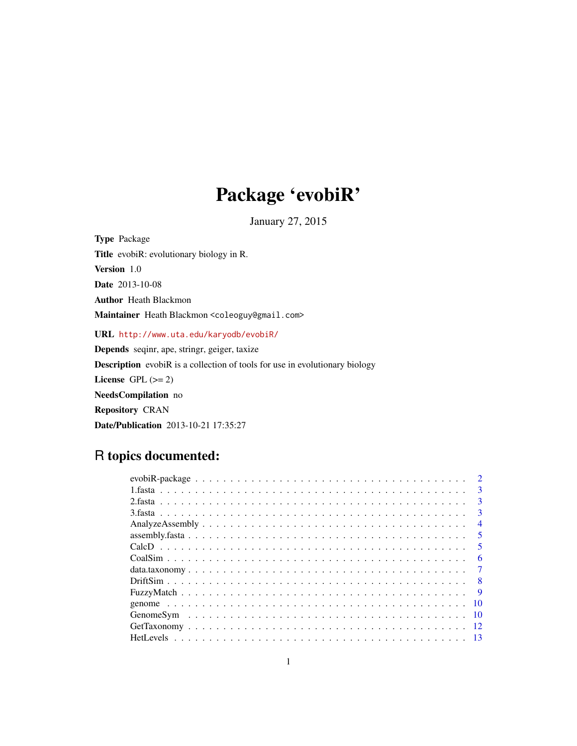# Package 'evobiR'

January 27, 2015

Type Package Title evobiR: evolutionary biology in R. Version 1.0 Date 2013-10-08 Author Heath Blackmon Maintainer Heath Blackmon <coleoguy@gmail.com> URL <http://www.uta.edu/karyodb/evobiR/>

Depends seqinr, ape, stringr, geiger, taxize Description evobiR is a collection of tools for use in evolutionary biology License GPL  $(>= 2)$ NeedsCompilation no Repository CRAN Date/Publication 2013-10-21 17:35:27

# R topics documented:

|  | $\mathcal{D}$           |
|--|-------------------------|
|  | $\mathbf{3}$            |
|  | $\mathbf{3}$            |
|  | 3                       |
|  | $\overline{4}$          |
|  | $\overline{\mathbf{5}}$ |
|  | -5                      |
|  | 6                       |
|  | -7                      |
|  |                         |
|  | $\overline{9}$          |
|  | -10                     |
|  |                         |
|  | -12                     |
|  |                         |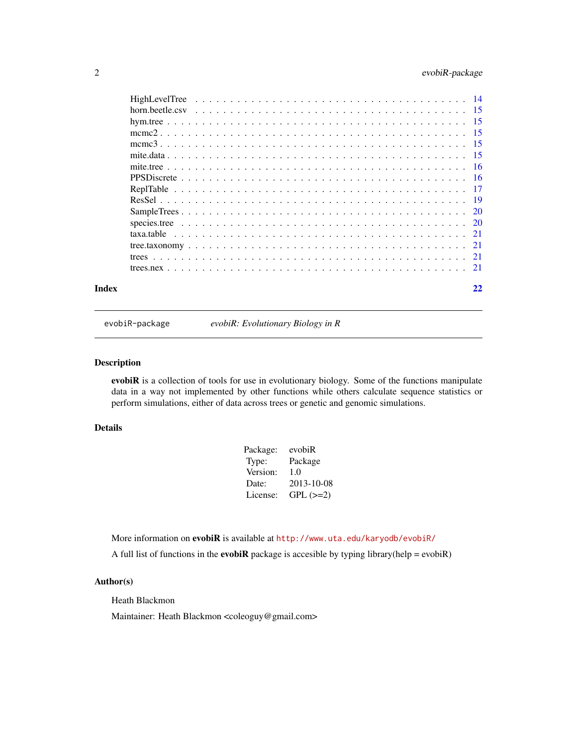# <span id="page-1-0"></span>2 evobiR-package

| Index |  | 22 |
|-------|--|----|
|       |  |    |
|       |  |    |
|       |  |    |
|       |  |    |
|       |  |    |
|       |  |    |
|       |  |    |
|       |  |    |
|       |  |    |
|       |  |    |
|       |  |    |
|       |  |    |
|       |  |    |
|       |  |    |
|       |  |    |
|       |  |    |

evobiR-package *evobiR: Evolutionary Biology in R*

#### Description

evobiR is a collection of tools for use in evolutionary biology. Some of the functions manipulate data in a way not implemented by other functions while others calculate sequence statistics or perform simulations, either of data across trees or genetic and genomic simulations.

# Details

| evobiR     |
|------------|
| Package    |
| 1.0        |
| 2013-10-08 |
| $GPL (=2)$ |
|            |

More information on evobiR is available at <http://www.uta.edu/karyodb/evobiR/>

A full list of functions in the **evobiR** package is accesible by typing library(help = evobiR)

# Author(s)

Heath Blackmon

Maintainer: Heath Blackmon <coleoguy@gmail.com>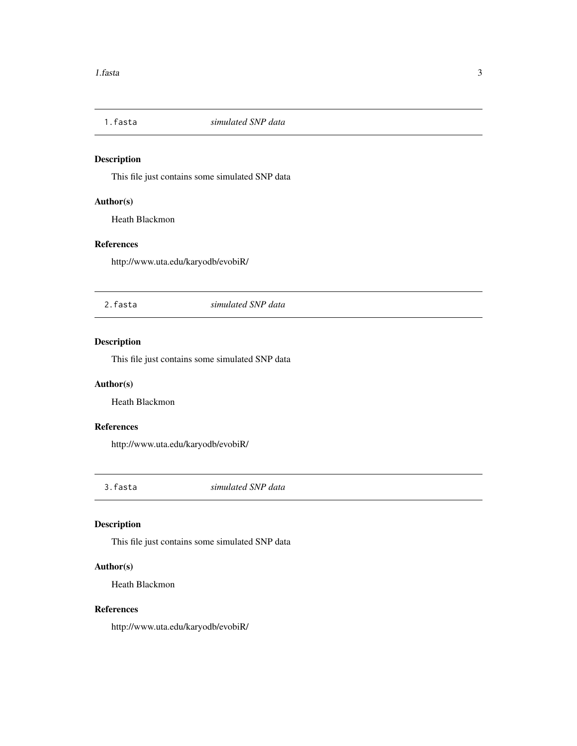<span id="page-2-0"></span>

This file just contains some simulated SNP data

# Author(s)

Heath Blackmon

# References

http://www.uta.edu/karyodb/evobiR/

2.fasta *simulated SNP data*

# Description

This file just contains some simulated SNP data

# Author(s)

Heath Blackmon

# References

http://www.uta.edu/karyodb/evobiR/

3.fasta *simulated SNP data*

# Description

This file just contains some simulated SNP data

# Author(s)

Heath Blackmon

#### References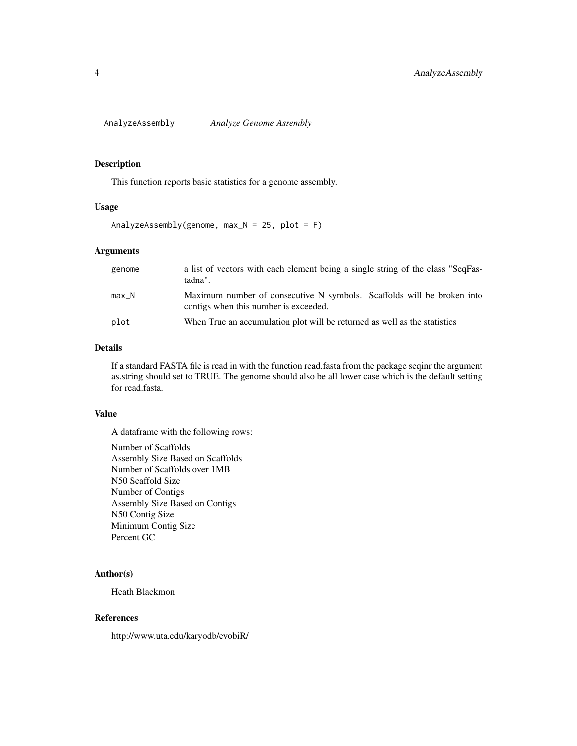<span id="page-3-0"></span>AnalyzeAssembly *Analyze Genome Assembly*

#### Description

This function reports basic statistics for a genome assembly.

# Usage

```
AnalyzeAssembly(genome, max_N = 25, plot = F)
```
# Arguments

| genome | a list of vectors with each element being a single string of the class "SeqFas-<br>tadna".                      |
|--------|-----------------------------------------------------------------------------------------------------------------|
| max N  | Maximum number of consecutive N symbols. Scaffolds will be broken into<br>contigs when this number is exceeded. |
| plot   | When True an accumulation plot will be returned as well as the statistics                                       |

#### Details

If a standard FASTA file is read in with the function read.fasta from the package seqinr the argument as.string should set to TRUE. The genome should also be all lower case which is the default setting for read.fasta.

# Value

A dataframe with the following rows:

Number of Scaffolds Assembly Size Based on Scaffolds Number of Scaffolds over 1MB N50 Scaffold Size Number of Contigs Assembly Size Based on Contigs N50 Contig Size Minimum Contig Size Percent GC

#### Author(s)

Heath Blackmon

#### References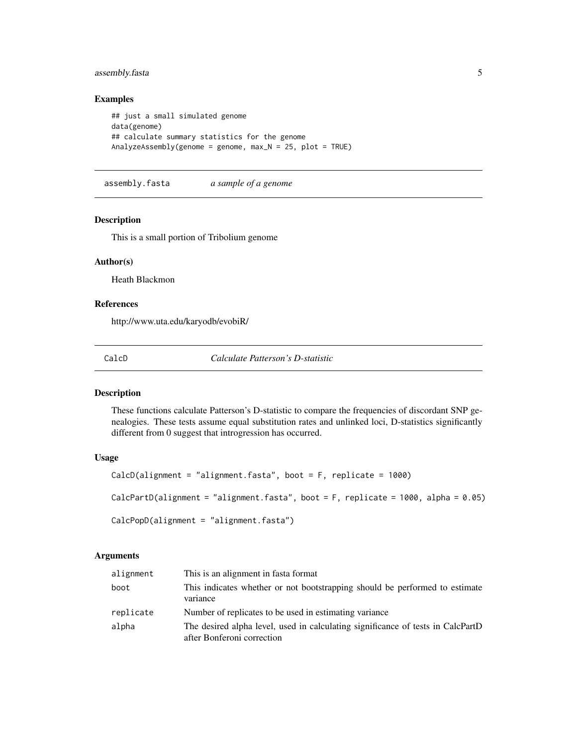# <span id="page-4-0"></span>assembly.fasta 5

# Examples

```
## just a small simulated genome
data(genome)
## calculate summary statistics for the genome
AnalyzeAssembly(genome = genome, max_N = 25, plot = TRUE)
```
assembly.fasta *a sample of a genome*

#### Description

This is a small portion of Tribolium genome

#### Author(s)

Heath Blackmon

# References

http://www.uta.edu/karyodb/evobiR/

CalcD *Calculate Patterson's D-statistic*

#### Description

These functions calculate Patterson's D-statistic to compare the frequencies of discordant SNP genealogies. These tests assume equal substitution rates and unlinked loci, D-statistics significantly different from 0 suggest that introgression has occurred.

#### Usage

```
CalcD(alignment = "alignment.fasta", boot = F, replicate = 1000)
CalcPartD(alignment = "alignment.fasta", boot = F, replicate = 1000, alpha = 0.05)
CalcPopD(alignment = "alignment.fasta")
```
# Arguments

| alignment | This is an alignment in fasta format                                                                          |
|-----------|---------------------------------------------------------------------------------------------------------------|
| boot      | This indicates whether or not bootstrapping should be performed to estimate<br>variance                       |
| replicate | Number of replicates to be used in estimating variance                                                        |
| alpha     | The desired alpha level, used in calculating significance of tests in CalcPartD<br>after Bonferoni correction |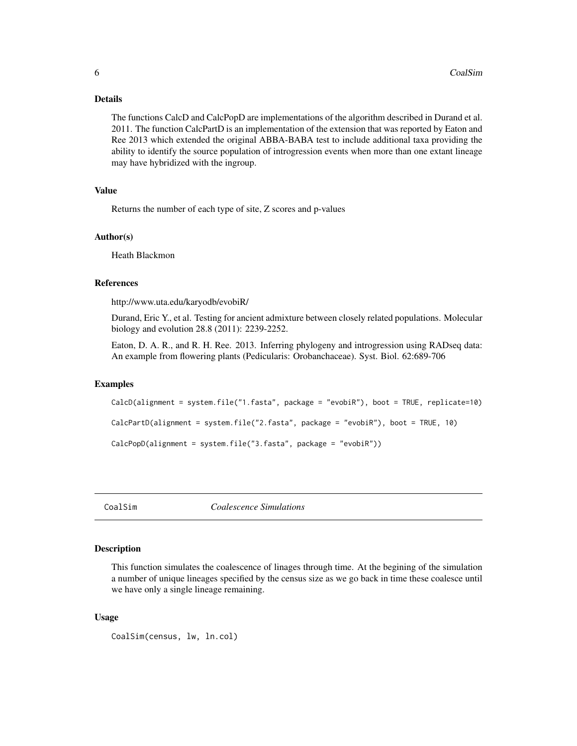#### <span id="page-5-0"></span>Details

The functions CalcD and CalcPopD are implementations of the algorithm described in Durand et al. 2011. The function CalcPartD is an implementation of the extension that was reported by Eaton and Ree 2013 which extended the original ABBA-BABA test to include additional taxa providing the ability to identify the source population of introgression events when more than one extant lineage may have hybridized with the ingroup.

### Value

Returns the number of each type of site, Z scores and p-values

#### Author(s)

Heath Blackmon

#### References

http://www.uta.edu/karyodb/evobiR/

Durand, Eric Y., et al. Testing for ancient admixture between closely related populations. Molecular biology and evolution 28.8 (2011): 2239-2252.

Eaton, D. A. R., and R. H. Ree. 2013. Inferring phylogeny and introgression using RADseq data: An example from flowering plants (Pedicularis: Orobanchaceae). Syst. Biol. 62:689-706

#### Examples

```
CalcD(alignment = system.file("1.fasta", package = "evobiR"), boot = TRUE, replicate=10)
CalcPartD(alignment = system.file("2.fasta", package = "evobiR"), boot = TRUE, 10)
CalcPopD(alignment = system.file("3.fasta", package = "evobiR"))
```
CoalSim *Coalescence Simulations*

#### Description

This function simulates the coalescence of linages through time. At the begining of the simulation a number of unique lineages specified by the census size as we go back in time these coalesce until we have only a single lineage remaining.

#### Usage

```
CoalSim(census, lw, ln.col)
```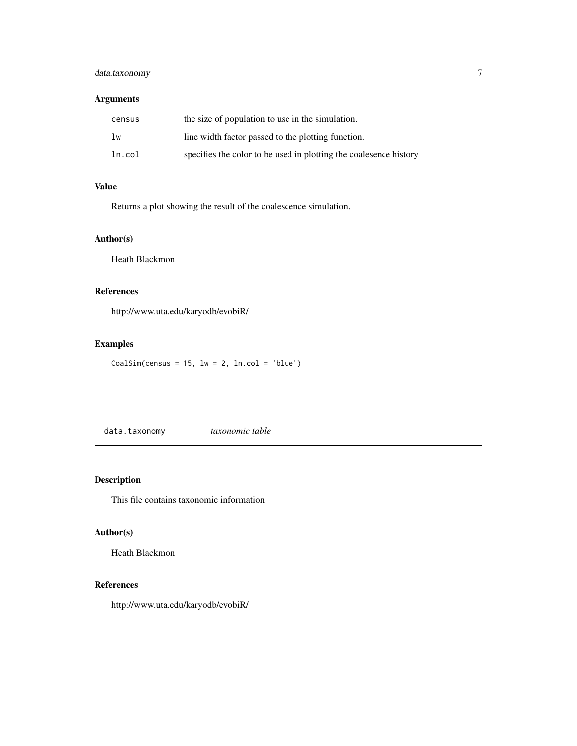# <span id="page-6-0"></span>data.taxonomy 7

# Arguments

| census | the size of population to use in the simulation.                  |
|--------|-------------------------------------------------------------------|
| lw     | line width factor passed to the plotting function.                |
| ln.col | specifies the color to be used in plotting the coalesence history |

# Value

Returns a plot showing the result of the coalescence simulation.

# Author(s)

Heath Blackmon

# References

http://www.uta.edu/karyodb/evobiR/

# Examples

 $CoalSim(census = 15, lw = 2, ln.col = 'blue')$ 

data.taxonomy *taxonomic table*

# Description

This file contains taxonomic information

# Author(s)

Heath Blackmon

# References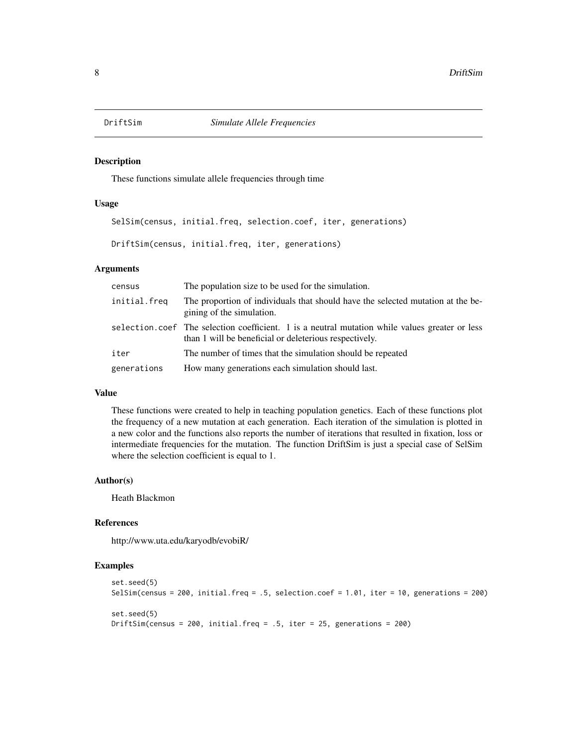<span id="page-7-0"></span>

These functions simulate allele frequencies through time

#### Usage

SelSim(census, initial.freq, selection.coef, iter, generations)

DriftSim(census, initial.freq, iter, generations)

# Arguments

| census       | The population size to be used for the simulation.                                                                                                       |
|--------------|----------------------------------------------------------------------------------------------------------------------------------------------------------|
| initial.freq | The proportion of individuals that should have the selected mutation at the be-<br>gining of the simulation.                                             |
|              | selection.coef The selection coefficient. 1 is a neutral mutation while values greater or less<br>than 1 will be beneficial or deleterious respectively. |
| iter         | The number of times that the simulation should be repeated                                                                                               |
| generations  | How many generations each simulation should last.                                                                                                        |

# Value

These functions were created to help in teaching population genetics. Each of these functions plot the frequency of a new mutation at each generation. Each iteration of the simulation is plotted in a new color and the functions also reports the number of iterations that resulted in fixation, loss or intermediate frequencies for the mutation. The function DriftSim is just a special case of SelSim where the selection coefficient is equal to 1.

# Author(s)

Heath Blackmon

# References

http://www.uta.edu/karyodb/evobiR/

```
set.seed(5)
SelSim(census = 200, initial.freq = .5, selection.coef = 1.01, iter = 10, generations = 200)
set.seed(5)
DriftSim(census = 200, initial.freq = .5, iter = 25, generations = 200)
```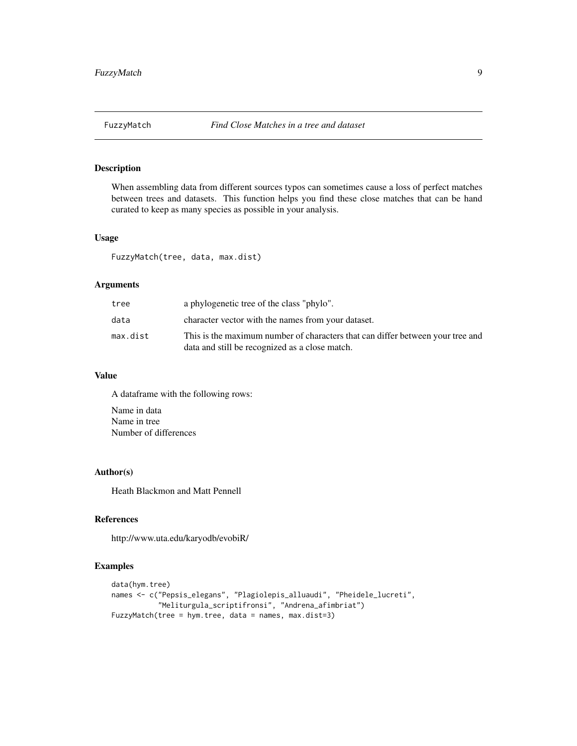<span id="page-8-0"></span>

When assembling data from different sources typos can sometimes cause a loss of perfect matches between trees and datasets. This function helps you find these close matches that can be hand curated to keep as many species as possible in your analysis.

### Usage

FuzzyMatch(tree, data, max.dist)

# Arguments

| tree     | a phylogenetic tree of the class "phylo".                                                                                        |
|----------|----------------------------------------------------------------------------------------------------------------------------------|
| data     | character vector with the names from your dataset.                                                                               |
| max.dist | This is the maximum number of characters that can differ between your tree and<br>data and still be recognized as a close match. |

#### Value

A dataframe with the following rows:

Name in data Name in tree Number of differences

#### Author(s)

Heath Blackmon and Matt Pennell

# References

http://www.uta.edu/karyodb/evobiR/

```
data(hym.tree)
names <- c("Pepsis_elegans", "Plagiolepis_alluaudi", "Pheidele_lucreti",
           "Meliturgula_scriptifronsi", "Andrena_afimbriat")
FuzzyMatch(tree = hym.tree, data = names, max.dist=3)
```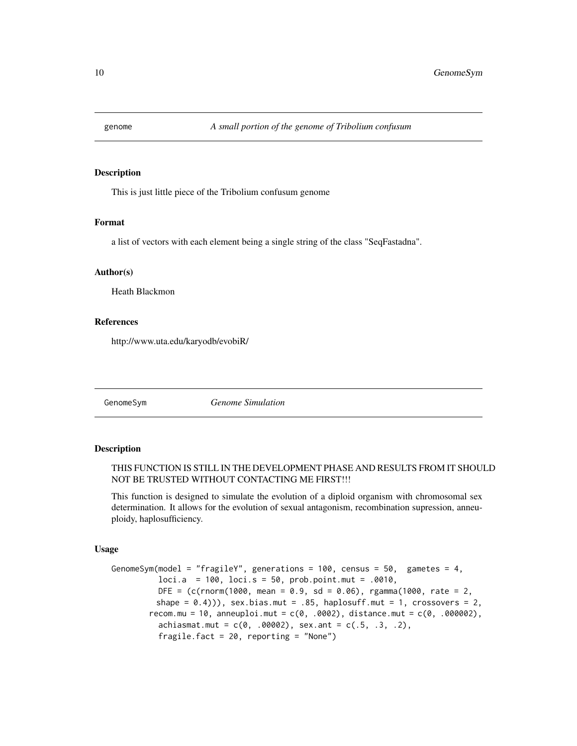<span id="page-9-0"></span>

This is just little piece of the Tribolium confusum genome

#### Format

a list of vectors with each element being a single string of the class "SeqFastadna".

#### Author(s)

Heath Blackmon

# References

http://www.uta.edu/karyodb/evobiR/

GenomeSym *Genome Simulation*

#### Description

# THIS FUNCTION IS STILL IN THE DEVELOPMENT PHASE AND RESULTS FROM IT SHOULD NOT BE TRUSTED WITHOUT CONTACTING ME FIRST!!!

This function is designed to simulate the evolution of a diploid organism with chromosomal sex determination. It allows for the evolution of sexual antagonism, recombination supression, anneuploidy, haplosufficiency.

#### Usage

```
GenomeSym(model = "fragileY", generations = 100, census = 50, gametes = 4,
          loci.a = 100, loci.s = 50, prob.point.mut = .0010,
          DEF = (c(rnorm(1000, mean = 0.9, sd = 0.06), rgamm(1000, rate = 2,shape = (0.4)), sex.bias.mut = .85, haplosuff.mut = 1, crossovers = 2,
        recom.mu = 10, anneuploi.mut = c(0, .0002), distance.mut = c(0, .000002),
          achiasmat.mut = c(0, .00002), sex.ant = c(.5, .3, .2),
          fragile.fact = 20, reporting = "None")
```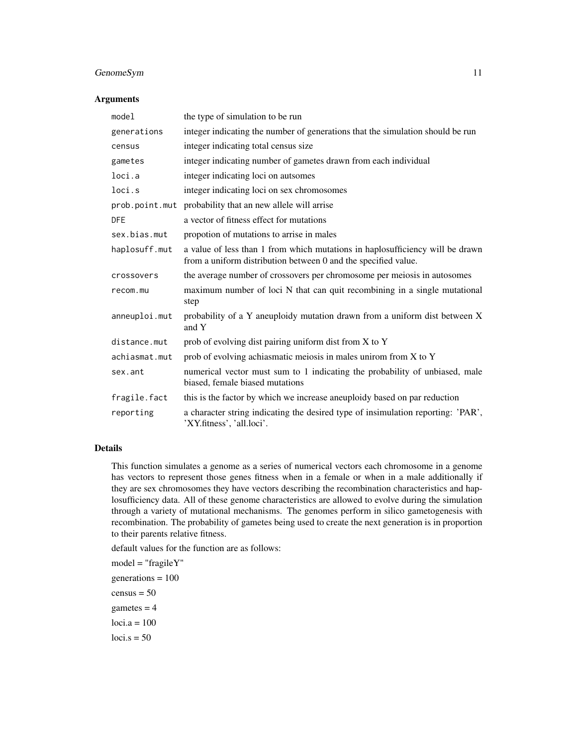# GenomeSym 11

#### Arguments

| model         | the type of simulation to be run                                                                                                                |
|---------------|-------------------------------------------------------------------------------------------------------------------------------------------------|
| generations   | integer indicating the number of generations that the simulation should be run                                                                  |
| census        | integer indicating total census size                                                                                                            |
| gametes       | integer indicating number of gametes drawn from each individual                                                                                 |
| loci.a        | integer indicating loci on autsomes                                                                                                             |
| loci.s        | integer indicating loci on sex chromosomes                                                                                                      |
|               | prob.point.mut probability that an new allele will arrise                                                                                       |
| <b>DFE</b>    | a vector of fitness effect for mutations                                                                                                        |
| sex.bias.mut  | propotion of mutations to arrise in males                                                                                                       |
| haplosuff.mut | a value of less than 1 from which mutations in haplosufficiency will be drawn<br>from a uniform distribution between 0 and the specified value. |
| crossovers    | the average number of crossovers per chromosome per meiosis in autosomes                                                                        |
| recom.mu      | maximum number of loci N that can quit recombining in a single mutational<br>step                                                               |
| anneuploi.mut | probability of a Y aneuploidy mutation drawn from a uniform dist between X<br>and Y                                                             |
| distance.mut  | prob of evolving dist pairing uniform dist from X to Y                                                                                          |
| achiasmat.mut | prob of evolving achiasmatic meiosis in males unirom from X to Y                                                                                |
| sex.ant       | numerical vector must sum to 1 indicating the probability of unbiased, male<br>biased, female biased mutations                                  |
| fragile.fact  | this is the factor by which we increase aneuploidy based on par reduction                                                                       |
| reporting     | a character string indicating the desired type of insimulation reporting: 'PAR',<br>'XY.fitness', 'all.loci'.                                   |

# Details

This function simulates a genome as a series of numerical vectors each chromosome in a genome has vectors to represent those genes fitness when in a female or when in a male additionally if they are sex chromosomes they have vectors describing the recombination characteristics and haplosufficiency data. All of these genome characteristics are allowed to evolve during the simulation through a variety of mutational mechanisms. The genomes perform in silico gametogenesis with recombination. The probability of gametes being used to create the next generation is in proportion to their parents relative fitness.

default values for the function are as follows:

model = "fragileY"  $generations = 100$  $census = 50$ gametes  $= 4$  $loci.a = 100$  $loci.s = 50$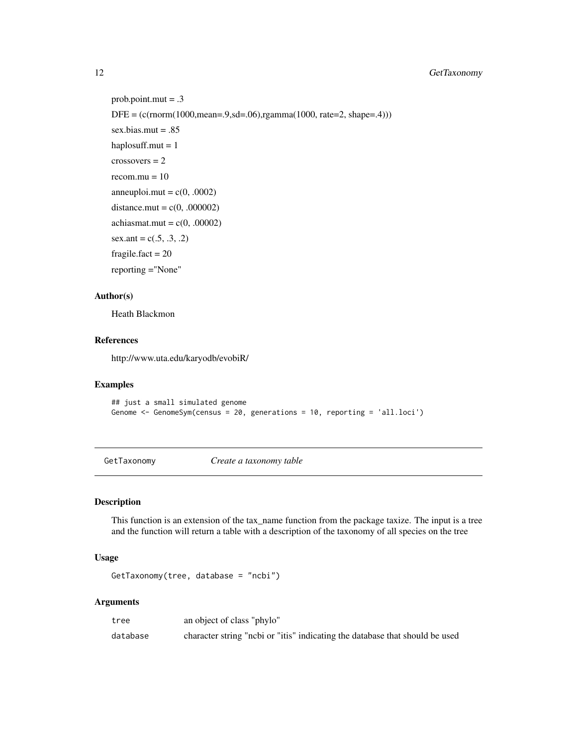# <span id="page-11-0"></span>12 GetTaxonomy

```
prob. point.mut = .3DFE = (c(rnorm(1000,mean=.9, sd=.06),rgamma(1000, rate=.2, shape=.4)))sex.bias.mut = .85
haplosuff.mut = 1crossovers = 2recom.mu = 10anneuploi.mut = c(0, .0002)distance.mut = c(0, .000002)achiasmat.mut = c(0, .00002)sex.ant = c(.5, .3, .2)fragile.fact = 20reporting ="None"
```
# Author(s)

Heath Blackmon

#### References

http://www.uta.edu/karyodb/evobiR/

#### Examples

```
## just a small simulated genome
Genome <- GenomeSym(census = 20, generations = 10, reporting = 'all.loci')
```
<span id="page-11-1"></span>GetTaxonomy *Create a taxonomy table*

#### Description

This function is an extension of the tax\_name function from the package taxize. The input is a tree and the function will return a table with a description of the taxonomy of all species on the tree

#### Usage

GetTaxonomy(tree, database = "ncbi")

# Arguments

| tree     | an object of class "phylo"                                                   |
|----------|------------------------------------------------------------------------------|
| database | character string "nobi or "itis" indicating the database that should be used |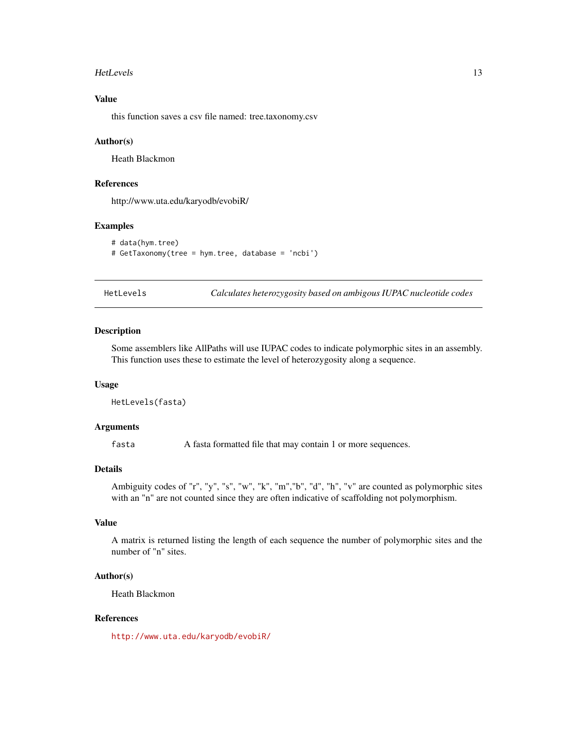#### <span id="page-12-0"></span>HetLevels 2008 and 2008 and 2008 and 2008 and 2008 and 2008 and 2008 and 2008 and 2008 and 2008 and 2008 and 2008 and 2008 and 2008 and 2008 and 2008 and 2008 and 2008 and 2008 and 2008 and 2008 and 2008 and 2008 and 2008

# Value

this function saves a csv file named: tree.taxonomy.csv

#### Author(s)

Heath Blackmon

#### References

http://www.uta.edu/karyodb/evobiR/

#### Examples

```
# data(hym.tree)
# GetTaxonomy(tree = hym.tree, database = 'ncbi')
```
HetLevels *Calculates heterozygosity based on ambigous IUPAC nucleotide codes*

#### Description

Some assemblers like AllPaths will use IUPAC codes to indicate polymorphic sites in an assembly. This function uses these to estimate the level of heterozygosity along a sequence.

#### Usage

```
HetLevels(fasta)
```
# Arguments

fasta A fasta formatted file that may contain 1 or more sequences.

# Details

Ambiguity codes of "r", "y", "s", "w", "k", "m","b", "d", "h", "v" are counted as polymorphic sites with an "n" are not counted since they are often indicative of scaffolding not polymorphism.

# Value

A matrix is returned listing the length of each sequence the number of polymorphic sites and the number of "n" sites.

#### Author(s)

Heath Blackmon

#### References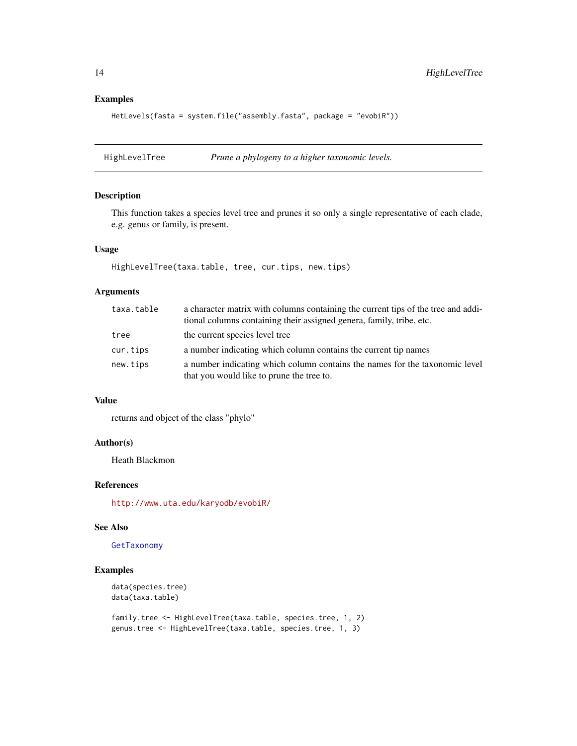# Examples

```
HetLevels(fasta = system.file("assembly.fasta", package = "evobiR"))
```
HighLevelTree *Prune a phylogeny to a higher taxonomic levels.*

#### Description

This function takes a species level tree and prunes it so only a single representative of each clade, e.g. genus or family, is present.

# Usage

HighLevelTree(taxa.table, tree, cur.tips, new.tips)

# Arguments

| taxa.table | a character matrix with columns containing the current tips of the tree and addi-<br>tional columns containing their assigned genera, family, tribe, etc. |
|------------|-----------------------------------------------------------------------------------------------------------------------------------------------------------|
| tree       | the current species level tree                                                                                                                            |
| cur.tips   | a number indicating which column contains the current tip names                                                                                           |
| new.tips   | a number indicating which column contains the names for the taxonomic level<br>that you would like to prune the tree to.                                  |

#### Value

returns and object of the class "phylo"

#### Author(s)

Heath Blackmon

#### References

<http://www.uta.edu/karyodb/evobiR/>

#### See Also

[GetTaxonomy](#page-11-1)

```
data(species.tree)
data(taxa.table)
```

```
family.tree <- HighLevelTree(taxa.table, species.tree, 1, 2)
genus.tree <- HighLevelTree(taxa.table, species.tree, 1, 3)
```
<span id="page-13-0"></span>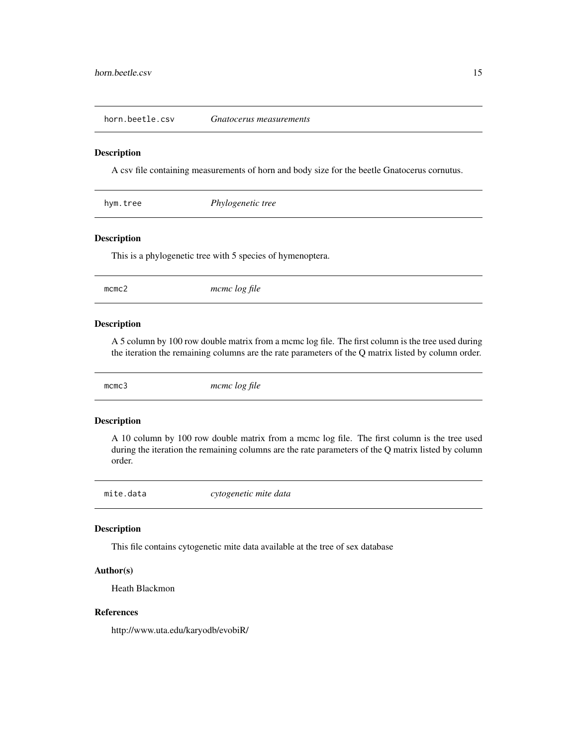<span id="page-14-0"></span>horn.beetle.csv *Gnatocerus measurements*

#### Description

A csv file containing measurements of horn and body size for the beetle Gnatocerus cornutus.

| hym.tree | Phylogenetic tree |  |  |
|----------|-------------------|--|--|
|----------|-------------------|--|--|

# Description

This is a phylogenetic tree with 5 species of hymenoptera.

mcmc2 *mcmc log file*

#### Description

A 5 column by 100 row double matrix from a mcmc log file. The first column is the tree used during the iteration the remaining columns are the rate parameters of the Q matrix listed by column order.

mcmc3 *mcmc log file*

#### Description

A 10 column by 100 row double matrix from a mcmc log file. The first column is the tree used during the iteration the remaining columns are the rate parameters of the Q matrix listed by column order.

mite.data *cytogenetic mite data*

#### Description

This file contains cytogenetic mite data available at the tree of sex database

# Author(s)

Heath Blackmon

# References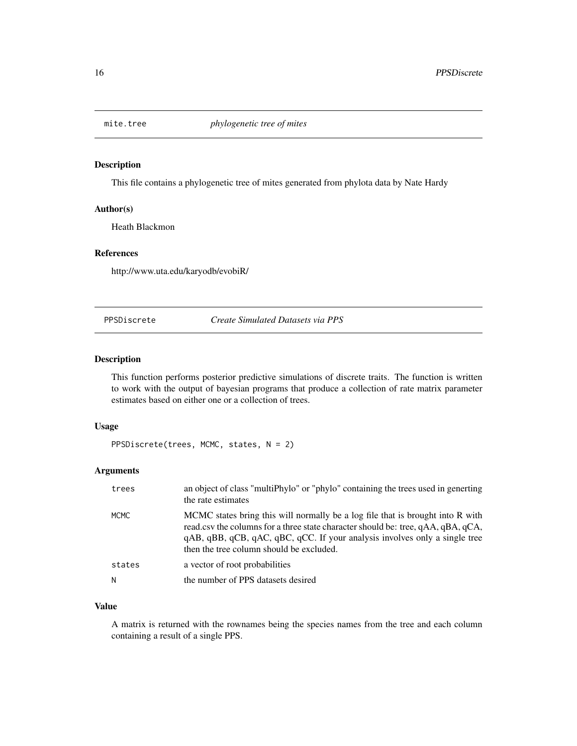<span id="page-15-0"></span>

This file contains a phylogenetic tree of mites generated from phylota data by Nate Hardy

### Author(s)

Heath Blackmon

#### References

http://www.uta.edu/karyodb/evobiR/

PPSDiscrete *Create Simulated Datasets via PPS*

# Description

This function performs posterior predictive simulations of discrete traits. The function is written to work with the output of bayesian programs that produce a collection of rate matrix parameter estimates based on either one or a collection of trees.

#### Usage

```
PPSDiscrete(trees, MCMC, states, N = 2)
```
#### Arguments

| trees       | an object of class "multiPhylo" or "phylo" containing the trees used in generting<br>the rate estimates                                                                                                                                                                                      |
|-------------|----------------------------------------------------------------------------------------------------------------------------------------------------------------------------------------------------------------------------------------------------------------------------------------------|
| <b>MCMC</b> | MCMC states bring this will normally be a log file that is brought into R with<br>read.csv the columns for a three state character should be: tree, qAA, qBA, qCA,<br>qAB, qBB, qCB, qAC, qBC, qCC. If your analysis involves only a single tree<br>then the tree column should be excluded. |
| states      | a vector of root probabilities                                                                                                                                                                                                                                                               |
| Ν           | the number of PPS datasets desired                                                                                                                                                                                                                                                           |

# Value

A matrix is returned with the rownames being the species names from the tree and each column containing a result of a single PPS.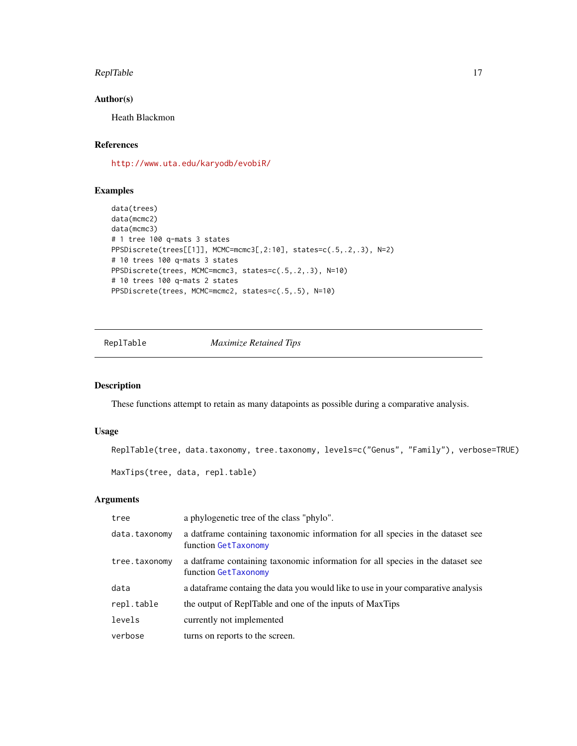#### <span id="page-16-0"></span>ReplTable 17

# Author(s)

Heath Blackmon

# References

<http://www.uta.edu/karyodb/evobiR/>

# Examples

```
data(trees)
data(mcmc2)
data(mcmc3)
# 1 tree 100 q-mats 3 states
PPSDiscrete(trees[[1]], MCMC=mcmc3[,2:10], states=c(.5,.2,.3), N=2)
# 10 trees 100 q-mats 3 states
PPSDiscrete(trees, MCMC=mcmc3, states=c(.5,.2,.3), N=10)
# 10 trees 100 q-mats 2 states
PPSDiscrete(trees, MCMC=mcmc2, states=c(.5,.5), N=10)
```
ReplTable *Maximize Retained Tips*

# Description

These functions attempt to retain as many datapoints as possible during a comparative analysis.

# Usage

```
ReplTable(tree, data.taxonomy, tree.taxonomy, levels=c("Genus", "Family"), verbose=TRUE)
```

```
MaxTips(tree, data, repl.table)
```
# Arguments

| tree          | a phylogenetic tree of the class "phylo".                                                                  |
|---------------|------------------------------------------------------------------------------------------------------------|
| data.taxonomy | a dation at a data exponential and a data and a data and a data and a data set see<br>function GetTaxonomy |
| tree.taxonomy | a datframe containing taxonomic information for all species in the dataset see<br>function GetTaxonomy     |
| data          | a dataframe containg the data you would like to use in your comparative analysis                           |
| repl.table    | the output of ReplTable and one of the inputs of MaxTips                                                   |
| levels        | currently not implemented                                                                                  |
| verbose       | turns on reports to the screen.                                                                            |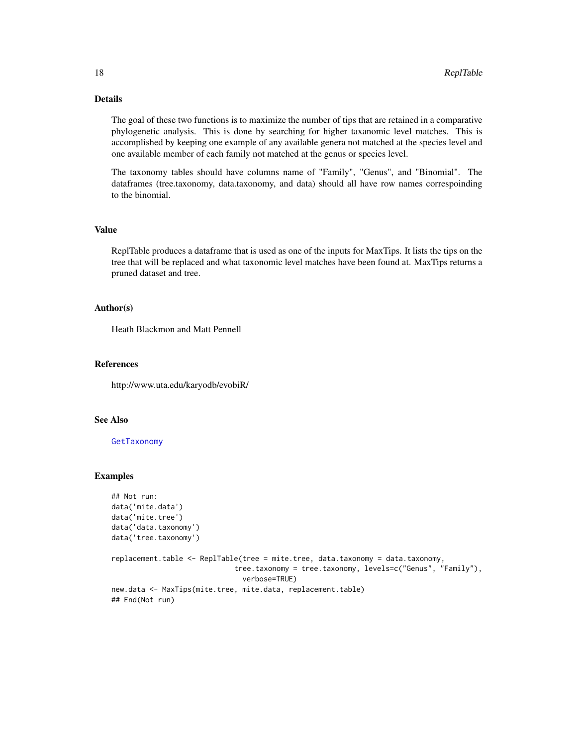# Details

The goal of these two functions is to maximize the number of tips that are retained in a comparative phylogenetic analysis. This is done by searching for higher taxanomic level matches. This is accomplished by keeping one example of any available genera not matched at the species level and one available member of each family not matched at the genus or species level.

The taxonomy tables should have columns name of "Family", "Genus", and "Binomial". The dataframes (tree.taxonomy, data.taxonomy, and data) should all have row names correspoinding to the binomial.

#### Value

ReplTable produces a dataframe that is used as one of the inputs for MaxTips. It lists the tips on the tree that will be replaced and what taxonomic level matches have been found at. MaxTips returns a pruned dataset and tree.

#### Author(s)

Heath Blackmon and Matt Pennell

# References

http://www.uta.edu/karyodb/evobiR/

# See Also

#### [GetTaxonomy](#page-11-1)

```
## Not run:
data('mite.data')
data('mite.tree')
data('data.taxonomy')
data('tree.taxonomy')
```

```
replacement.table <- ReplTable(tree = mite.tree, data.taxonomy = data.taxonomy,
                            tree.taxonomy = tree.taxonomy, levels=c("Genus", "Family"),
                               verbose=TRUE)
new.data <- MaxTips(mite.tree, mite.data, replacement.table)
## End(Not run)
```
<span id="page-17-0"></span>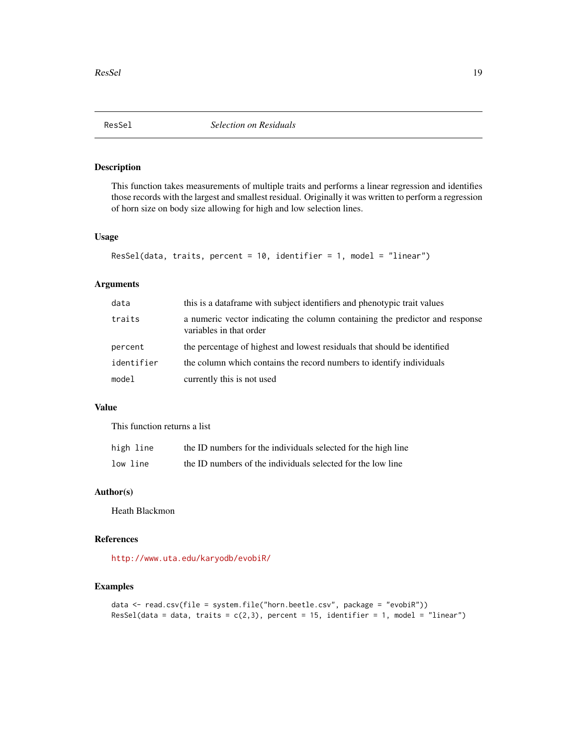<span id="page-18-0"></span>

This function takes measurements of multiple traits and performs a linear regression and identifies those records with the largest and smallest residual. Originally it was written to perform a regression of horn size on body size allowing for high and low selection lines.

#### Usage

```
ResSel(data, traits, percent = 10, identifier = 1, model = "linear")
```
# Arguments

| data       | this is a dataframe with subject identifiers and phenotypic trait values                                |
|------------|---------------------------------------------------------------------------------------------------------|
| traits     | a numeric vector indicating the column containing the predictor and response<br>variables in that order |
| percent    | the percentage of highest and lowest residuals that should be identified                                |
| identifier | the column which contains the record numbers to identify individuals                                    |
| model      | currently this is not used                                                                              |

#### Value

This function returns a list

| high line | the ID numbers for the individuals selected for the high line |
|-----------|---------------------------------------------------------------|
| low line  | the ID numbers of the individuals selected for the low line   |

# Author(s)

Heath Blackmon

#### References

<http://www.uta.edu/karyodb/evobiR/>

```
data <- read.csv(file = system.file("horn.beetle.csv", package = "evobiR"))
ResSel(data = data, traits = c(2,3), percent = 15, identifier = 1, model = "linear")
```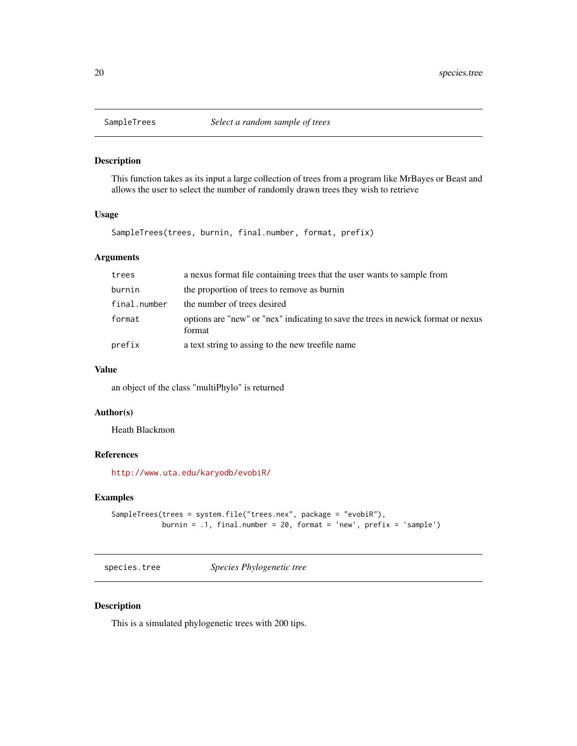<span id="page-19-0"></span>

This function takes as its input a large collection of trees from a program like MrBayes or Beast and allows the user to select the number of randomly drawn trees they wish to retrieve

#### Usage

SampleTrees(trees, burnin, final.number, format, prefix)

# Arguments

| trees        | a nexus format file containing trees that the user wants to sample from                     |
|--------------|---------------------------------------------------------------------------------------------|
| burnin       | the proportion of trees to remove as burnin                                                 |
| final.number | the number of trees desired                                                                 |
| format       | options are "new" or "nex" indicating to save the trees in newick format or nexus<br>format |
| prefix       | a text string to assing to the new treefile name                                            |

#### Value

an object of the class "multiPhylo" is returned

#### Author(s)

Heath Blackmon

#### References

<http://www.uta.edu/karyodb/evobiR/>

# Examples

```
SampleTrees(trees = system.file("trees.nex", package = "evobiR"),
           burnin = .1, final.number = 20, format = 'new', prefix = 'sample')
```
species.tree *Species Phylogenetic tree*

# Description

This is a simulated phylogenetic trees with 200 tips.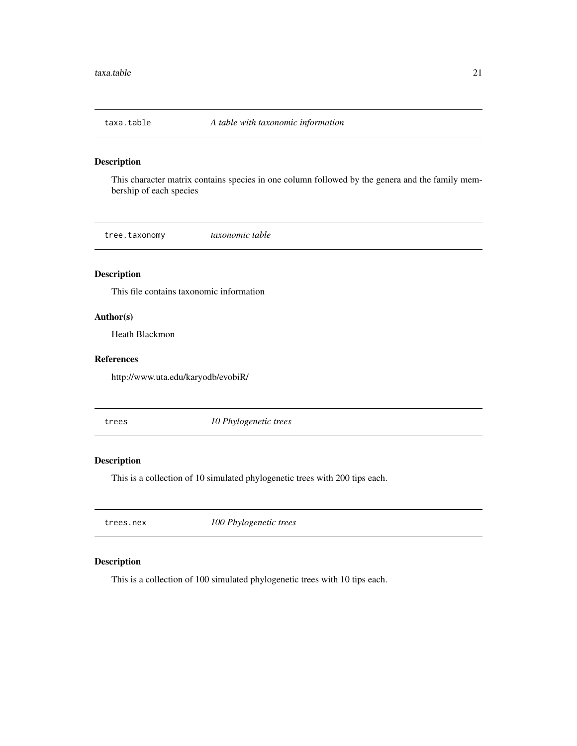<span id="page-20-0"></span>

This character matrix contains species in one column followed by the genera and the family membership of each species

tree.taxonomy *taxonomic table*

# Description

This file contains taxonomic information

# Author(s)

Heath Blackmon

# References

http://www.uta.edu/karyodb/evobiR/

trees *10 Phylogenetic trees*

# Description

This is a collection of 10 simulated phylogenetic trees with 200 tips each.

trees.nex *100 Phylogenetic trees*

# Description

This is a collection of 100 simulated phylogenetic trees with 10 tips each.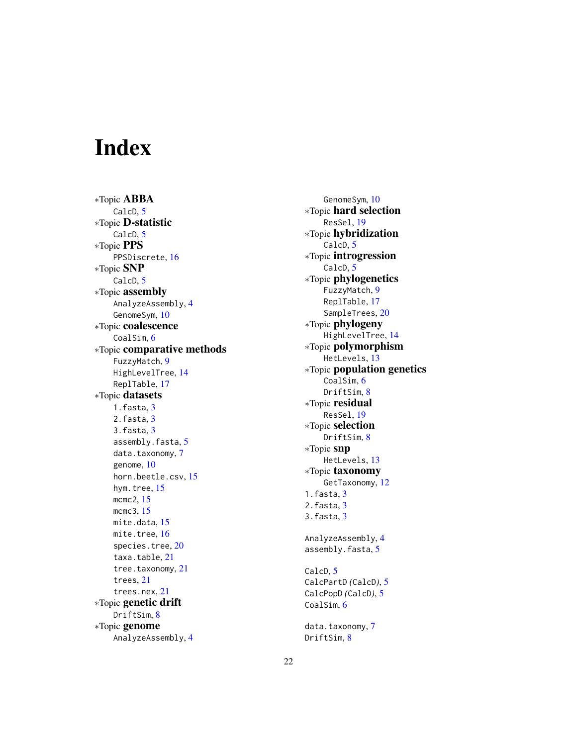# <span id="page-21-0"></span>Index

∗Topic ABBA CalcD, [5](#page-4-0) ∗Topic D-statistic CalcD, [5](#page-4-0) ∗Topic PPS PPSDiscrete, [16](#page-15-0) ∗Topic SNP CalcD, [5](#page-4-0) ∗Topic assembly AnalyzeAssembly , [4](#page-3-0) GenomeSym, [10](#page-9-0) ∗Topic coalescence CoalSim, [6](#page-5-0) ∗Topic comparative methods FuzzyMatch , [9](#page-8-0) HighLevelTree , [14](#page-13-0) ReplTable , [17](#page-16-0) ∗Topic datasets 1.fasta , [3](#page-2-0) 2.fasta , [3](#page-2-0) 3.fasta , [3](#page-2-0) assembly.fasta, [5](#page-4-0) data.taxonomy, [7](#page-6-0) genome , [10](#page-9-0) horn.beetle.csv , [15](#page-14-0) hym.tree, [15](#page-14-0) mcmc2, [15](#page-14-0) mcmc3 , [15](#page-14-0) mite.data, [15](#page-14-0) mite.tree, [16](#page-15-0) species.tree, [20](#page-19-0) taxa.table , [21](#page-20-0) tree.taxonomy, [21](#page-20-0) trees , [21](#page-20-0) trees.nex , [21](#page-20-0) ∗Topic genetic drift DriftSim , [8](#page-7-0) ∗Topic genome AnalyzeAssembly , [4](#page-3-0)

GenomeSym , [10](#page-9-0) ∗Topic hard selection ResSel , [19](#page-18-0) ∗Topic hybridization CalcD, [5](#page-4-0) ∗Topic introgression CalcD, [5](#page-4-0) ∗Topic phylogenetics FuzzyMatch, [9](#page-8-0) ReplTable , [17](#page-16-0) SampleTrees, [20](#page-19-0) ∗Topic phylogeny HighLevelTree , [14](#page-13-0) ∗Topic polymorphism HetLevels , [13](#page-12-0) ∗Topic population genetics CoalSim, [6](#page-5-0) DriftSim , [8](#page-7-0) ∗Topic residual ResSel , [19](#page-18-0) ∗Topic selection DriftSim , [8](#page-7-0) ∗Topic snp HetLevels , [13](#page-12-0) ∗Topic taxonomy GetTaxonomy , [12](#page-11-0) 1.fasta , [3](#page-2-0) 2.fasta , [3](#page-2-0) 3.fasta , [3](#page-2-0) AnalyzeAssembly , [4](#page-3-0) assembly.fasta , [5](#page-4-0) CalcD , [5](#page-4-0) CalcPartD *(*CalcD *)* , [5](#page-4-0) CalcPopD *(*CalcD *)* , [5](#page-4-0) CoalSim, [6](#page-5-0) data.taxonomy,[7](#page-6-0) DriftSim , [8](#page-7-0)